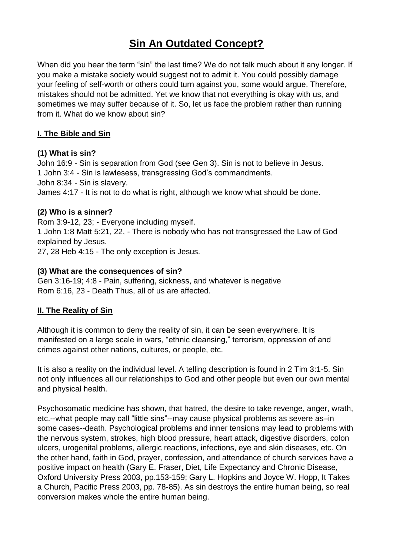# **Sin An Outdated Concept?**

When did you hear the term "sin" the last time? We do not talk much about it any longer. If you make a mistake society would suggest not to admit it. You could possibly damage your feeling of self-worth or others could turn against you, some would argue. Therefore, mistakes should not be admitted. Yet we know that not everything is okay with us, and sometimes we may suffer because of it. So, let us face the problem rather than running from it. What do we know about sin?

#### **I. The Bible and Sin**

#### **(1) What is sin?**

John 16:9 - Sin is separation from God (see Gen 3). Sin is not to believe in Jesus. 1 John 3:4 - Sin is lawlesess, transgressing God's commandments. John 8:34 - Sin is slavery. James 4:17 - It is not to do what is right, although we know what should be done.

#### **(2) Who is a sinner?**

Rom 3:9-12, 23; - Everyone including myself. 1 John 1:8 Matt 5:21, 22, - There is nobody who has not transgressed the Law of God explained by Jesus. 27, 28 Heb 4:15 - The only exception is Jesus.

#### **(3) What are the consequences of sin?**

Gen 3:16-19; 4:8 - Pain, suffering, sickness, and whatever is negative Rom 6:16, 23 - Death Thus, all of us are affected.

## **II. The Reality of Sin**

Although it is common to deny the reality of sin, it can be seen everywhere. It is manifested on a large scale in wars, "ethnic cleansing," terrorism, oppression of and crimes against other nations, cultures, or people, etc.

It is also a reality on the individual level. A telling description is found in 2 Tim 3:1-5. Sin not only influences all our relationships to God and other people but even our own mental and physical health.

Psychosomatic medicine has shown, that hatred, the desire to take revenge, anger, wrath, etc.--what people may call "little sins"--may cause physical problems as severe as–in some cases--death. Psychological problems and inner tensions may lead to problems with the nervous system, strokes, high blood pressure, heart attack, digestive disorders, colon ulcers, urogenital problems, allergic reactions, infections, eye and skin diseases, etc. On the other hand, faith in God, prayer, confession, and attendance of church services have a positive impact on health (Gary E. Fraser, Diet, Life Expectancy and Chronic Disease, Oxford University Press 2003, pp.153-159; Gary L. Hopkins and Joyce W. Hopp, It Takes a Church, Pacific Press 2003, pp. 78-85). As sin destroys the entire human being, so real conversion makes whole the entire human being.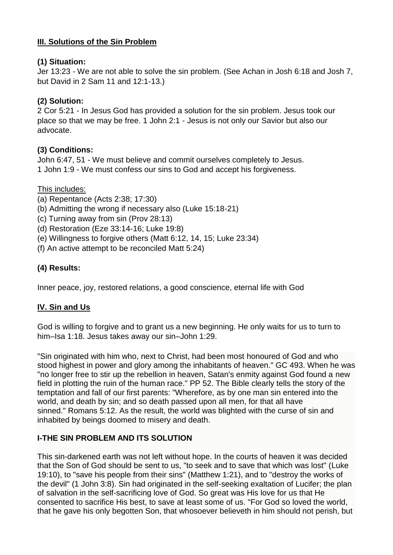# **III. Solutions of the Sin Problem**

# **(1) Situation:**

Jer 13:23 - We are not able to solve the sin problem. (See Achan in Josh 6:18 and Josh 7, but David in 2 Sam 11 and 12:1-13.)

# **(2) Solution:**

2 Cor 5:21 - In Jesus God has provided a solution for the sin problem. Jesus took our place so that we may be free. 1 John 2:1 - Jesus is not only our Savior but also our advocate.

# **(3) Conditions:**

John 6:47, 51 - We must believe and commit ourselves completely to Jesus. 1 John 1:9 - We must confess our sins to God and accept his forgiveness.

## This includes:

- (a) Repentance (Acts 2:38; 17:30)
- (b) Admitting the wrong if necessary also (Luke 15:18-21)
- (c) Turning away from sin (Prov 28:13)
- (d) Restoration (Eze 33:14-16; Luke 19:8)
- (e) Willingness to forgive others (Matt 6:12, 14, 15; Luke 23:34)
- (f) An active attempt to be reconciled Matt 5:24)

# **(4) Results:**

Inner peace, joy, restored relations, a good conscience, eternal life with God

# **IV. Sin and Us**

God is willing to forgive and to grant us a new beginning. He only waits for us to turn to him–Isa 1:18. Jesus takes away our sin–John 1:29.

"Sin originated with him who, next to Christ, had been most honoured of God and who stood highest in power and glory among the inhabitants of heaven." GC 493. When he was "no longer free to stir up the rebellion in heaven, Satan's enmity against God found a new field in plotting the ruin of the human race." PP 52. The Bible clearly tells the story of the temptation and fall of our first parents: "Wherefore, as by one man sin entered into the world, and death by sin; and so death passed upon all men, for that all have sinned." Romans 5:12. As the result, the world was blighted with the curse of sin and inhabited by beings doomed to misery and death.

# **I-THE SIN PROBLEM AND ITS SOLUTION**

This sin-darkened earth was not left without hope. In the courts of heaven it was decided that the Son of God should be sent to us, "to seek and to save that which was lost" (Luke 19:10), to "save his people from their sins" (Matthew 1:21), and to "destroy the works of the devil" (1 John 3:8). Sin had originated in the self-seeking exaltation of Lucifer; the plan of salvation in the self-sacrificing love of God. So great was His love for us that He consented to sacrifice His best, to save at least some of us. "For God so loved the world, that he gave his only begotten Son, that whosoever believeth in him should not perish, but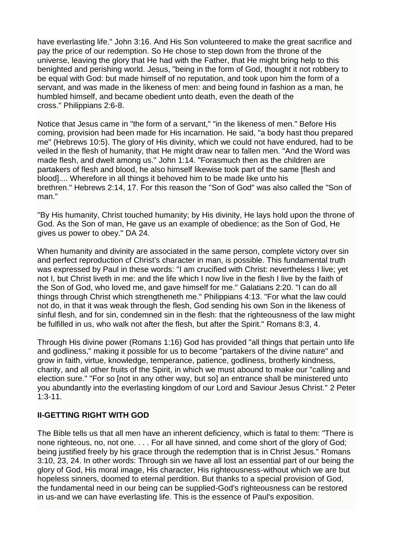have everlasting life." John 3:16. And His Son volunteered to make the great sacrifice and pay the price of our redemption. So He chose to step down from the throne of the universe, leaving the glory that He had with the Father, that He might bring help to this benighted and perishing world. Jesus, "being in the form of God, thought it not robbery to be equal with God: but made himself of no reputation, and took upon him the form of a servant, and was made in the likeness of men: and being found in fashion as a man, he humbled himself, and became obedient unto death, even the death of the cross." Philippians 2:6-8.

Notice that Jesus came in "the form of a servant," "in the likeness of men." Before His coming, provision had been made for His incarnation. He said, "a body hast thou prepared me" (Hebrews 10:5). The glory of His divinity, which we could not have endured, had to be veiled in the flesh of humanity, that He might draw near to fallen men. "And the Word was made flesh, and dwelt among us." John 1:14. "Forasmuch then as the children are partakers of flesh and blood, he also himself likewise took part of the same [flesh and blood].... Wherefore in all things it behoved him to be made like unto his brethren." Hebrews 2:14, 17. For this reason the "Son of God" was also called the "Son of man."

"By His humanity, Christ touched humanity; by His divinity, He lays hold upon the throne of God. As the Son of man, He gave us an example of obedience; as the Son of God, He gives us power to obey." DA 24.

When humanity and divinity are associated in the same person, complete victory over sin and perfect reproduction cf Christ's character in man, is possible. This fundamental truth was expressed by Paul in these words: "I am crucified with Christ: nevertheless I live; yet not I, but Christ liveth in me: and the life which I now live in the flesh I live by the faith of the Son of God, who loved me, and gave himself for me." Galatians 2:20. "I can do all things through Christ which strengtheneth me." Philippians 4:13. "For what the law could not do, in that it was weak through the flesh, God sending his own Son in the likeness of sinful flesh, and for sin, condemned sin in the flesh: that the righteousness of the law might be fulfilled in us, who walk not after the flesh, but after the Spirit." Romans 8:3, 4.

Through His divine power (Romans 1:16) God has provided "all things that pertain unto life and godliness," making it possible for us to become "partakers of the divine nature" and grow in faith, virtue, knowledge, temperance, patience, godliness, brotherly kindness, charity, and all other fruits of the Spirit, in which we must abound to make our "calling and election sure." "For so [not in any other way, but so] an entrance shall be ministered unto you abundantly into the everlasting kingdom of our Lord and Saviour Jesus Christ." 2 Peter 1:3-11.

## **II-GETTING RIGHT WITH GOD**

The Bible tells us that all men have an inherent deficiency, which is fatal to them: "There is none righteous, no, not one. . . . For all have sinned, and come short of the glory of God; being justified freely by his grace through the redemption that is in Christ Jesus." Romans 3:10, 23, 24. In other words: Through sin we have all lost an essential part of our being the glory of God, His moral image, His character, His righteousness-without which we are but hopeless sinners, doomed to eternal perdition. But thanks to a special provision of God, the fundamental need in our being can be supplied-God's righteousness can be restored in us-and we can have everlasting life. This is the essence of Paul's exposition.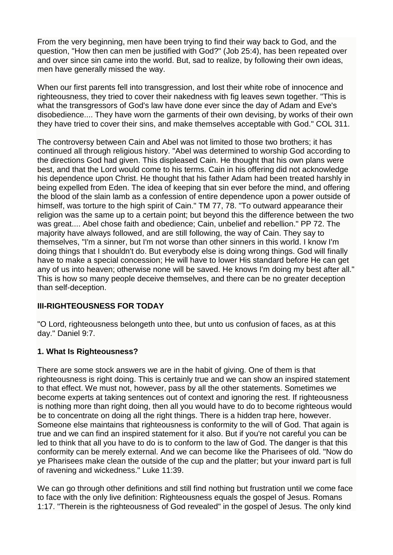From the very beginning, men have been trying to find their way back to God, and the question, "How then can men be justified with God?" (Job 25:4), has been repeated over and over since sin came into the world. But, sad to realize, by following their own ideas, men have generally missed the way.

When our first parents fell into transgression, and lost their white robe of innocence and righteousness, they tried to cover their nakedness with fig leaves sewn together. "This is what the transgressors of God's law have done ever since the day of Adam and Eve's disobedience.... They have worn the garments of their own devising, by works of their own they have tried to cover their sins, and make themselves acceptable with God." COL 311.

The controversy between Cain and Abel was not limited to those two brothers; it has continued all through religious history. "Abel was determined to worship God according to the directions God had given. This displeased Cain. He thought that his own plans were best, and that the Lord would come to his terms. Cain in his offering did not acknowledge his dependence upon Christ. He thought that his father Adam had been treated harshly in being expelled from Eden. The idea of keeping that sin ever before the mind, and offering the blood of the slain lamb as a confession of entire dependence upon a power outside of himself, was torture to the high spirit of Cain." TM 77, 78. "To outward appearance their religion was the same up to a certain point; but beyond this the difference between the two was great.... Abel chose faith and obedience; Cain, unbelief and rebellion." PP 72. The majority have always followed, and are still following, the way of Cain. They say to themselves, "I'm a sinner, but I'm not worse than other sinners in this world. I know I'm doing things that I shouldn't do. But everybody else is doing wrong things. God will finally have to make a special concession; He will have to lower His standard before He can get any of us into heaven; otherwise none will be saved. He knows I'm doing my best after all." This is how so many people deceive themselves, and there can be no greater deception than self-deception.

## **III-RIGHTEOUSNESS FOR TODAY**

"O Lord, righteousness belongeth unto thee, but unto us confusion of faces, as at this day." Daniel 9:7.

## **1. What Is Righteousness?**

There are some stock answers we are in the habit of giving. One of them is that righteousness is right doing. This is certainly true and we can show an inspired statement to that effect. We must not, however, pass by all the other statements. Sometimes we become experts at taking sentences out of context and ignoring the rest. If righteousness is nothing more than right doing, then all you would have to do to become righteous would be to concentrate on doing all the right things. There is a hidden trap here, however. Someone else maintains that righteousness is conformity to the will of God. That again is true and we can find an inspired statement for it also. But if you're not careful you can be led to think that all you have to do is to conform to the law of God. The danger is that this conformity can be merely external. And we can become like the Pharisees of old. "Now do ye Pharisees make clean the outside of the cup and the platter; but your inward part is full of ravening and wickedness." Luke 11:39.

We can go through other definitions and still find nothing but frustration until we come face to face with the only live definition: Righteousness equals the gospel of Jesus. Romans 1:17. "Therein is the righteousness of God revealed" in the gospel of Jesus. The only kind